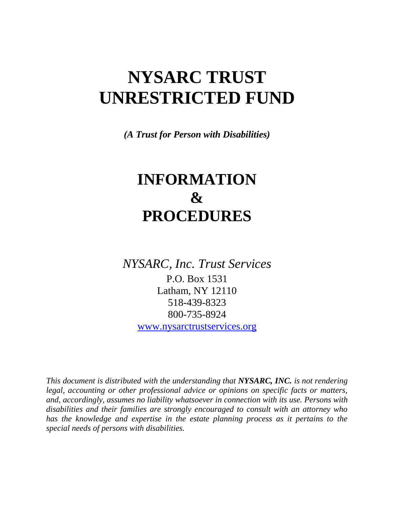# **NYSARC TRUST UNRESTRICTED FUND**

*(A Trust for Person with Disabilities)*

# **INFORMATION & PROCEDURES**

*NYSARC, Inc. Trust Services*

P.O. Box 1531 Latham, NY 12110 518-439-8323 800-735-8924

[www.nysarctrustservices.org](http://www.nysarctrustservices.org/)

*This document is distributed with the understanding that NYSARC, INC. is not rendering legal, accounting or other professional advice or opinions on specific facts or matters, and, accordingly, assumes no liability whatsoever in connection with its use. Persons with disabilities and their families are strongly encouraged to consult with an attorney who has the knowledge and expertise in the estate planning process as it pertains to the special needs of persons with disabilities.*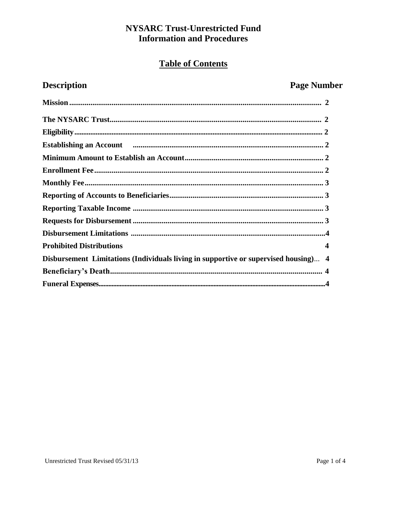## **NYSARC Trust-Unrestricted Fund Information and Procedures**

# **Table of Contents**

# **Description**

# **Page Number**

| Establishing an Account measurements are not all the material measurements and all the set of all the set of a |                         |
|----------------------------------------------------------------------------------------------------------------|-------------------------|
|                                                                                                                |                         |
|                                                                                                                |                         |
|                                                                                                                |                         |
|                                                                                                                |                         |
|                                                                                                                |                         |
|                                                                                                                |                         |
|                                                                                                                |                         |
| <b>Prohibited Distributions</b>                                                                                | $\overline{\mathbf{4}}$ |
| Disbursement Limitations (Individuals living in supportive or supervised housing) 4                            |                         |
|                                                                                                                |                         |
|                                                                                                                |                         |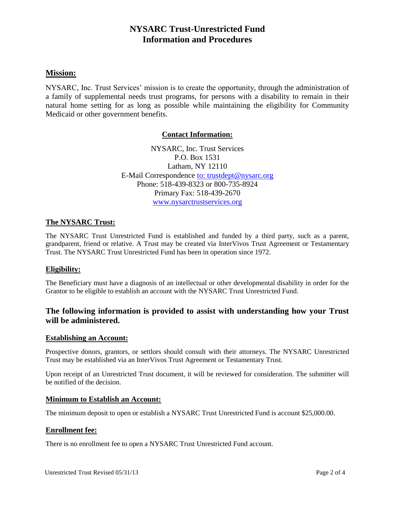### **NYSARC Trust-Unrestricted Fund Information and Procedures**

#### **Mission:**

NYSARC, Inc. Trust Services' mission is to create the opportunity, through the administration of a family of supplemental needs trust programs, for persons with a disability to remain in their natural home setting for as long as possible while maintaining the eligibility for Community Medicaid or other government benefits.

#### **Contact Information:**

NYSARC, Inc. Trust Services P.O. Box 1531 Latham, NY 12110 E-Mail Correspondence [to:](ftp://to:_trustdept@nysarc.org/) trustdept@nysarc.org Phone: 518-439-8323 or 800-735-8924 Primary Fax: 518-439-2670 [www.nysarctrustservices.org](http://www.nysarctrustservices.org/)

#### **The NYSARC Trust:**

The NYSARC Trust Unrestricted Fund is established and funded by a third party, such as a parent, grandparent, friend or relative. A Trust may be created via InterVivos Trust Agreement or Testamentary Trust. The NYSARC Trust Unrestricted Fund has been in operation since 1972.

#### **Eligibility:**

The Beneficiary must have a diagnosis of an intellectual or other developmental disability in order for the Grantor to be eligible to establish an account with the NYSARC Trust Unrestricted Fund.

#### **The following information is provided to assist with understanding how your Trust will be administered.**

#### **Establishing an Account:**

Prospective donors, grantors, or settlors should consult with their attorneys. The NYSARC Unrestricted Trust may be established via an InterVivos Trust Agreement or Testamentary Trust.

Upon receipt of an Unrestricted Trust document, it will be reviewed for consideration. The submitter will be notified of the decision.

#### **Minimum to Establish an Account:**

The minimum deposit to open or establish a NYSARC Trust Unrestricted Fund is account \$25,000.00.

#### **Enrollment fee:**

There is no enrollment fee to open a NYSARC Trust Unrestricted Fund account.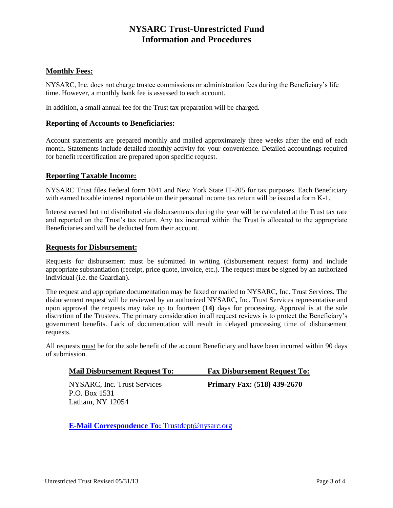## **NYSARC Trust-Unrestricted Fund Information and Procedures**

#### **Monthly Fees:**

NYSARC, Inc. does not charge trustee commissions or administration fees during the Beneficiary's life time. However, a monthly bank fee is assessed to each account.

In addition, a small annual fee for the Trust tax preparation will be charged.

#### **Reporting of Accounts to Beneficiaries:**

Account statements are prepared monthly and mailed approximately three weeks after the end of each month. Statements include detailed monthly activity for your convenience. Detailed accountings required for benefit recertification are prepared upon specific request.

#### **Reporting Taxable Income:**

NYSARC Trust files Federal form 1041 and New York State IT-205 for tax purposes. Each Beneficiary with earned taxable interest reportable on their personal income tax return will be issued a form K-1.

Interest earned but not distributed via disbursements during the year will be calculated at the Trust tax rate and reported on the Trust's tax return. Any tax incurred within the Trust is allocated to the appropriate Beneficiaries and will be deducted from their account.

#### **Requests for Disbursement:**

Requests for disbursement must be submitted in writing (disbursement request form) and include appropriate substantiation (receipt, price quote, invoice, etc.). The request must be signed by an authorized individual (i.e. the Guardian).

The request and appropriate documentation may be faxed or mailed to NYSARC, Inc. Trust Services. The disbursement request will be reviewed by an authorized NYSARC, Inc. Trust Services representative and upon approval the requests may take up to fourteen (**14)** days for processing. Approval is at the sole discretion of the Trustees. The primary consideration in all request reviews is to protect the Beneficiary's government benefits. Lack of documentation will result in delayed processing time of disbursement requests.

All requests must be for the sole benefit of the account Beneficiary and have been incurred within 90 days of submission.

|  | <b>Mail Disbursement Request To:</b> |  | <b>Fax Disbursement Request To:</b> |  |
|--|--------------------------------------|--|-------------------------------------|--|
|--|--------------------------------------|--|-------------------------------------|--|

NYSARC, Inc. Trust Services **Primary Fax:** (**518) 439-2670** P.O. Box 1531 Latham, NY 12054

**[E-Mail Correspondence To:](ftp://E-Mail_Correspondence_To:_Trustdept@nysarc.org/)** Trustdept@nysarc.org